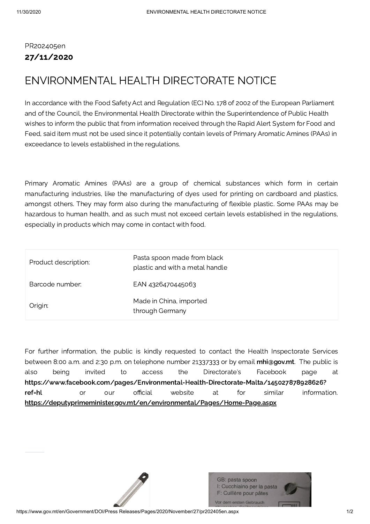## PR202405en 27/11/2020

## ENVIRONMENTAL HEALTH DIRECTORATE NOTICE

In accordance with the Food Safety Act and Regulation (EC) No. 178 of 2002 of the European Parliament and of the Council, the Environmental Health Directorate within the Superintendence of Public Health wishes to inform the public that from information received through the Rapid Alert System for Food and Feed, said item must not be used since it potentially contain levels of Primary Aromatic Amines (PAAs) in exceedance to levels established in the regulations.

Primary Aromatic Amines (PAAs) are a group of chemical substances which form in certain manufacturing industries, like the manufacturing of dyes used for printing on cardboard and plastics, amongst others. They may form also during the manufacturing of flexible plastic. Some PAAs may be hazardous to human health, and as such must not exceed certain levels established in the regulations, especially in products which may come in contact with food.

| Product description: | Pasta spoon made from black<br>plastic and with a metal handle |
|----------------------|----------------------------------------------------------------|
| Barcode number:      | EAN 4326470445063                                              |
| Origin:              | Made in China, imported<br>through Germany                     |

For further information, the public is kindly requested to contact the Health Inspectorate Services between 8:00 a.m. and 2:30 p.m. on telephone number 21337333 or by email [mhi@gov.mt](mailto:mhi@gov.mt). The public is also being invited to access the Directorate's Facebook page at [https://www.facebook.com/pages/Environmental-Health-Directorate-Malta/145027878928626?](https://www.facebook.com/pages/Environmental-Health-Directorate-Malta/145027878928626?ref=hl) ref=hl or our official website at for similar information. <https://deputyprimeminister.gov.mt/en/environmental/Pages/Home-Page.aspx>

> GB: pasta spoon I: Cucchiaino per la pasta F: Cuillère pour pâtes Vor dem ersten Gebrauch